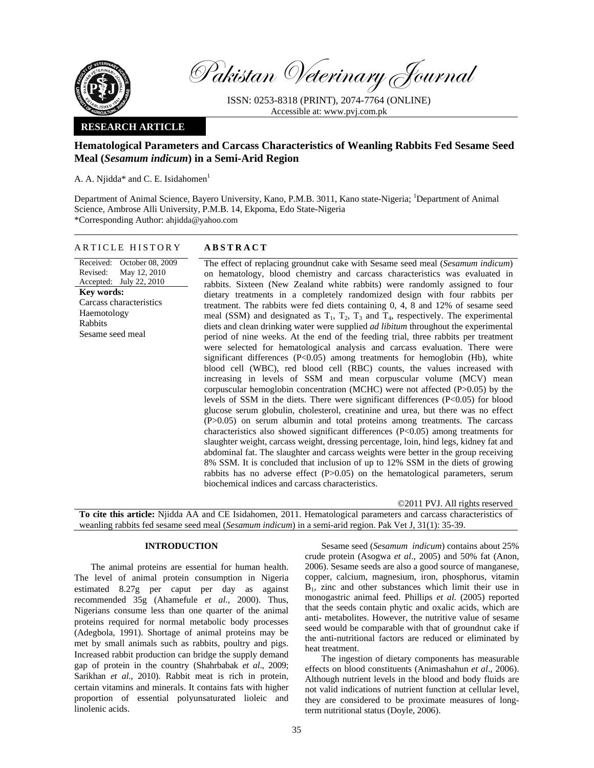

Pakistan Veterinary Journal

ISSN: 0253-8318 (PRINT), 2074-7764 (ONLINE) Accessible at: www.pvj.com.pk

# **RESEARCH ARTICLE**

# **Hematological Parameters and Carcass Characteristics of Weanling Rabbits Fed Sesame Seed Meal (***Sesamum indicum***) in a Semi-Arid Region**

A. A. Niidda\* and C. E. Isidahomen<sup>1</sup>

Department of Animal Science, Bayero University, Kano, P.M.B. 3011, Kano state-Nigeria; <sup>1</sup>Department of Animal Science, Ambrose Alli University, P.M.B. 14, Ekpoma, Edo State-Nigeria \*Corresponding Author: ahjidda@yahoo.com

### ARTICLE HISTORY **ABSTRACT**

Received: October 08, 2009 Revised: Accepted: July 22, 2010 May 12, 2010 **Key words:**  Carcass characteristics Haemotology Rabbits Sesame seed meal

The effect of replacing groundnut cake with Sesame seed meal (*Sesamum indicum*) on hematology, blood chemistry and carcass characteristics was evaluated in rabbits. Sixteen (New Zealand white rabbits) were randomly assigned to four dietary treatments in a completely randomized design with four rabbits per treatment. The rabbits were fed diets containing 0, 4, 8 and 12% of sesame seed meal (SSM) and designated as  $T_1$ ,  $T_2$ ,  $T_3$  and  $T_4$ , respectively. The experimental diets and clean drinking water were supplied *ad libitum* throughout the experimental period of nine weeks. At the end of the feeding trial, three rabbits per treatment were selected for hematological analysis and carcass evaluation. There were significant differences (P<0.05) among treatments for hemoglobin (Hb), white blood cell (WBC), red blood cell (RBC) counts, the values increased with increasing in levels of SSM and mean corpuscular volume (MCV) mean corpuscular hemoglobin concentration (MCHC) were not affected (P>0.05) by the levels of SSM in the diets. There were significant differences  $(P<0.05)$  for blood glucose serum globulin, cholesterol, creatinine and urea, but there was no effect (P>0.05) on serum albumin and total proteins among treatments. The carcass characteristics also showed significant differences (P<0.05) among treatments for slaughter weight, carcass weight, dressing percentage, loin, hind legs, kidney fat and abdominal fat. The slaughter and carcass weights were better in the group receiving 8% SSM. It is concluded that inclusion of up to 12% SSM in the diets of growing rabbits has no adverse effect (P>0.05) on the hematological parameters, serum biochemical indices and carcass characteristics.

©2011 PVJ. All rights reserved **To cite this article:** Njidda AA and CE Isidahomen, 2011. Hematological parameters and carcass characteristics of weanling rabbits fed sesame seed meal (*Sesamum indicum*) in a semi-arid region. Pak Vet J, 31(1): 35-39.

## **INTRODUCTION**

The animal proteins are essential for human health. The level of animal protein consumption in Nigeria estimated 8.27g per caput per day as against recommended 35g (Ahamefule *et al.,* 2000). Thus, Nigerians consume less than one quarter of the animal proteins required for normal metabolic body processes (Adegbola, 1991). Shortage of animal proteins may be met by small animals such as rabbits, poultry and pigs. Increased rabbit production can bridge the supply demand gap of protein in the country (Shahrbabak *et al*., 2009; Sarikhan *et al*., 2010). Rabbit meat is rich in protein, certain vitamins and minerals. It contains fats with higher proportion of essential polyunsaturated lioleic and linolenic acids.

Sesame seed (*Sesamum indicum*) contains about 25% crude protein (Asogwa *et al*., 2005) and 50% fat (Anon, 2006). Sesame seeds are also a good source of manganese, copper, calcium, magnesium, iron, phosphorus, vitamin  $B_1$ , zinc and other substances which limit their use in monogastric animal feed. Phillips *et al.* (2005) reported that the seeds contain phytic and oxalic acids, which are anti- metabolites. However, the nutritive value of sesame seed would be comparable with that of groundnut cake if the anti-nutritional factors are reduced or eliminated by heat treatment.

The ingestion of dietary components has measurable effects on blood constituents (Animashahun *et al*., 2006). Although nutrient levels in the blood and body fluids are not valid indications of nutrient function at cellular level, they are considered to be proximate measures of longterm nutritional status (Doyle, 2006).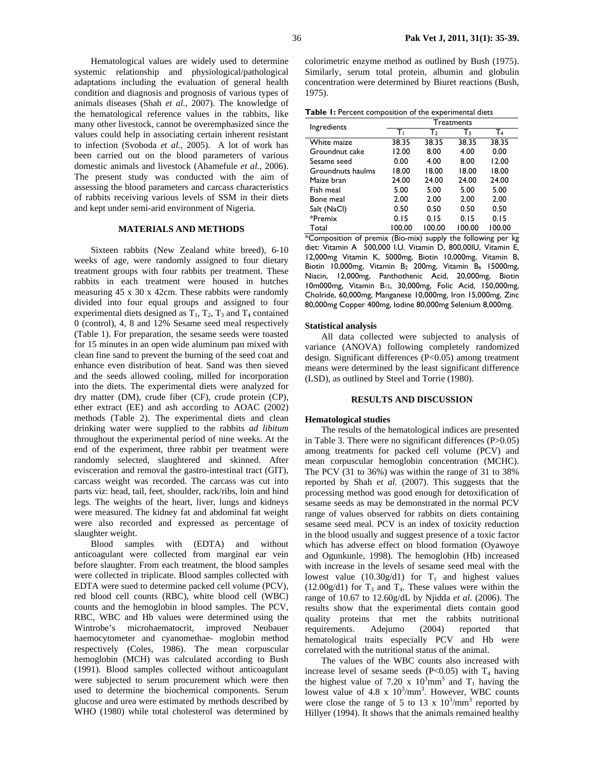Hematological values are widely used to determine systemic relationship and physiological/pathological adaptations including the evaluation of general health condition and diagnosis and prognosis of various types of animals diseases (Shah *et al.,* 2007). The knowledge of the hematological reference values in the rabbits, like many other livestock, cannot be overemphasized since the values could help in associating certain inherent resistant to infection (Svoboda *et al.,* 2005). A lot of work has been carried out on the blood parameters of various domestic animals and livestock (Ahamefule *et al.,* 2006). The present study was conducted with the aim of assessing the blood parameters and carcass characteristics of rabbits receiving various levels of SSM in their diets and kept under semi-arid environment of Nigeria.

# **MATERIALS AND METHODS**

Sixteen rabbits (New Zealand white breed), 6-10 weeks of age, were randomly assigned to four dietary treatment groups with four rabbits per treatment. These rabbits in each treatment were housed in hutches measuring 45 x 30 x 42cm. These rabbits were randomly divided into four equal groups and assigned to four experimental diets designed as  $T_1$ ,  $T_2$ ,  $T_3$  and  $T_4$  contained 0 (control), 4, 8 and 12% Sesame seed meal respectively (Table 1). For preparation, the sesame seeds were toasted for 15 minutes in an open wide aluminum pan mixed with clean fine sand to prevent the burning of the seed coat and enhance even distribution of heat. Sand was then sieved and the seeds allowed cooling, milled for incorporation into the diets. The experimental diets were analyzed for dry matter (DM), crude fiber (CF), crude protein (CP), ether extract (EE) and ash according to AOAC (2002) methods (Table 2). The experimental diets and clean drinking water were supplied to the rabbits *ad libitum* throughout the experimental period of nine weeks. At the end of the experiment, three rabbit per treatment were randomly selected, slaughtered and skinned. After evisceration and removal the gastro-intestinal tract (GIT), carcass weight was recorded. The carcass was cut into parts viz: head, tail, feet, shoulder, rack/ribs, loin and hind legs. The weights of the heart, liver, lungs and kidneys were measured. The kidney fat and abdominal fat weight were also recorded and expressed as percentage of slaughter weight.

Blood samples with (EDTA) and without anticoagulant were collected from marginal ear vein before slaughter. From each treatment, the blood samples were collected in triplicate. Blood samples collected with EDTA were sued to determine packed cell volume (PCV), red blood cell counts (RBC), white blood cell (WBC) counts and the hemoglobin in blood samples. The PCV, RBC, WBC and Hb values were determined using the Wintrobe's microhaematocrit, improved Neubauer haemocytometer and cyanomethae- moglobin method respectively (Coles, 1986). The mean corpuscular hemoglobin (MCH) was calculated according to Bush (1991). Blood samples collected without anticoagulant were subjected to serum procurement which were then used to determine the biochemical components. Serum glucose and urea were estimated by methods described by WHO (1980) while total cholesterol was determined by

colorimetric enzyme method as outlined by Bush (1975). Similarly, serum total protein, albumin and globulin concentration were determined by Biuret reactions (Bush, 1975).

|  |  |  |  | Table I: Percent composition of the experimental diets |  |
|--|--|--|--|--------------------------------------------------------|--|
|--|--|--|--|--------------------------------------------------------|--|

| Ingredients       | <b>Treatments</b> |        |        |        |  |  |  |
|-------------------|-------------------|--------|--------|--------|--|--|--|
|                   | Tı                | Т›     | $T_3$  | T4     |  |  |  |
| White maize       | 38.35             | 38.35  | 38.35  | 38.35  |  |  |  |
| Groundnut cake    | 12.00             | 8.00   | 4.00   | 0.00   |  |  |  |
| Sesame seed       | 0.00              | 4.00   | 8.00   | 12.00  |  |  |  |
| Groundnuts haulms | 18.00             | 18.00  | 18.00  | 18.00  |  |  |  |
| Maize bran        | 24.00             | 24.00  | 24.00  | 24.00  |  |  |  |
| Fish meal         | 5.00              | 5.00   | 5.00   | 5.00   |  |  |  |
| Bone meal         | 2.00              | 2.00   | 2.00   | 2.00   |  |  |  |
| Salt (NaCl)       | 0.50              | 0.50   | 0.50   | 0.50   |  |  |  |
| *Premix           | 0.15              | 0.15   | 0.15   | 0.15   |  |  |  |
| Total             | 100.00            | 100.00 | 100.00 | 100.00 |  |  |  |

\*Composition of premix (Bio-mix) supply the following per kg diet: Vitamin A 500,000 I.U. Vitamin D, 800,00IU, Vitamin E, 12,000mg Vitamin K, 5000mg, Biotin 10,000mg, Vitamin B, Biotin 10,000mg, Vitamin B<sub>2</sub> 200mg, Vitamin B<sub>6</sub> 15000mg, Niacin, 12,000mg, Panthothenic Acid, 20,000mg, Biotin 10m000mg, Vitamin B12, 30,000mg, Folic Acid, 150,000mg, Cholride, 60,000mg, Manganese 10,000mg, Iron 15,000mg, Zinc 80,000mg Copper 400mg, Iodine 80,000mg Selenium 8,000mg.

#### **Statistical analysis**

All data collected were subjected to analysis of variance (ANOVA) following completely randomized design. Significant differences (P<0.05) among treatment means were determined by the least significant difference (LSD), as outlined by Steel and Torrie (1980).

## **RESULTS AND DISCUSSION**

#### **Hematological studies**

The results of the hematological indices are presented in Table 3. There were no significant differences (P>0.05) among treatments for packed cell volume (PCV) and mean corpuscular hemoglobin concentration (MCHC). The PCV (31 to 36%) was within the range of 31 to 38% reported by Shah *et al.* (2007). This suggests that the processing method was good enough for detoxification of sesame seeds as may be demonstrated in the normal PCV range of values observed for rabbits on diets containing sesame seed meal. PCV is an index of toxicity reduction in the blood usually and suggest presence of a toxic factor which has adverse effect on blood formation (Oyawoye and Ogunkunle, 1998). The hemoglobin (Hb) increased with increase in the levels of sesame seed meal with the lowest value (10.30g/d1) for  $T_1$  and highest values  $(12.00g/d1)$  for T<sub>3</sub> and T<sub>4</sub>. These values were within the range of 10.67 to 12.60g/dL by Njidda *et al.* (2006). The results show that the experimental diets contain good quality proteins that met the rabbits nutritional requirements. Adejumo (2004) reported that hematological traits especially PCV and Hb were correlated with the nutritional status of the animal.

 The values of the WBC counts also increased with increase level of sesame seeds (P<0.05) with  $T_4$  having the highest value of 7.20 x  $10^3$ mm<sup>3</sup> and T<sub>1</sub> having the lowest value of  $4.8 \times 10^3/\text{mm}^3$ . However, WBC counts were close the range of 5 to 13 x  $10^3/\text{mm}^3$  reported by Hillyer (1994). It shows that the animals remained healthy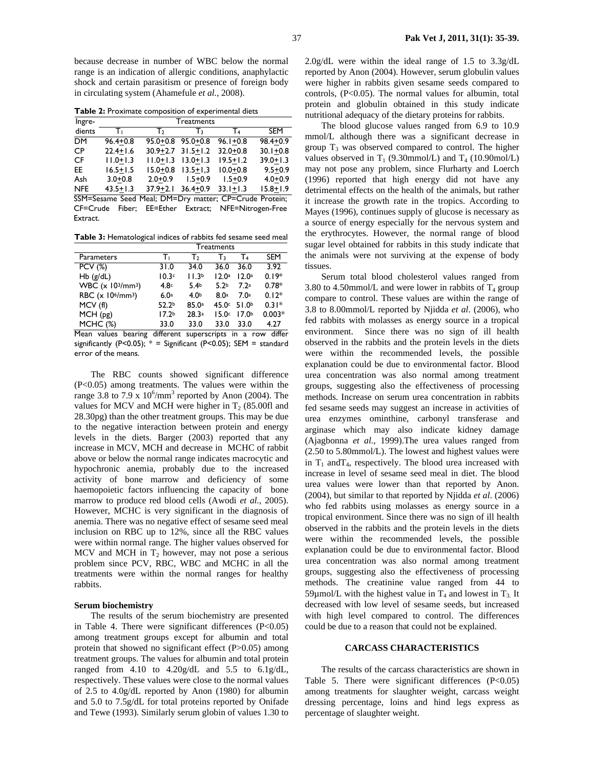because decrease in number of WBC below the normal range is an indication of allergic conditions, anaphylactic shock and certain parasitism or presence of foreign body in circulating system (Ahamefule *et al.,* 2008).

**Table 2:** Proximate composition of experimental diets

| Ingre-                                                 | Treatments   |              |              |              |              |  |  |
|--------------------------------------------------------|--------------|--------------|--------------|--------------|--------------|--|--|
| dients                                                 | Tι           | Т            | Т٦           | T4           | <b>SEM</b>   |  |  |
| <b>DM</b>                                              | $96.4 + 0.8$ | $95.0 + 0.8$ | $95.0 + 0.8$ | $96.1 + 0.8$ | $98.4 + 0.9$ |  |  |
| <b>CP</b>                                              | $22.4 + 1.6$ | $30.9 + 2.7$ | $31.5 + 1.2$ | $32.0 + 0.8$ | $30.1 + 0.8$ |  |  |
| CF                                                     | $11.0 + 1.3$ | $11.0 + 1.3$ | $13.0 + 1.3$ | $19.5 + 1.2$ | $39.0 + 1.3$ |  |  |
| EE.                                                    | $16.5 + 1.5$ | $15.0 + 0.8$ | $13.5 + 1.3$ | $10.0 + 0.8$ | $9.5 + 0.9$  |  |  |
| Ash                                                    | $3.0 + 0.8$  | $2.0 + 0.9$  | $1.5 + 0.9$  | $1.5 + 0.9$  | $4.0 + 0.9$  |  |  |
| <b>NFE</b>                                             | $43.5 + 1.3$ | $37.9 + 2.1$ | $36.4 + 0.9$ | $33.1 + 1.3$ | $15.8 + 1.9$ |  |  |
| SSM=Sesame Seed Meal; DM=Dry matter; CP=Crude Protein; |              |              |              |              |              |  |  |

CF=Crude Fiber; EE=Ether Extract; NFE=Nitrogen-Free **Extract.** 

**Table 3:** Hematological indices of rabbits fed sesame seed meal

|                                           | Treatments                     |                   |                  |                   |             |  |
|-------------------------------------------|--------------------------------|-------------------|------------------|-------------------|-------------|--|
| Parameters                                | т.                             | Т›                | Т٦               | T4                | <b>SEM</b>  |  |
| <b>PCV (%)</b>                            | 31.0                           | 34.0              | 36.0             | 36.0              | 3.92        |  |
| $Hb$ (g/dL)                               | 10.3c                          | 11.3 <sup>b</sup> | 12.0a            | 12.0a             | $0.19*$     |  |
| WBC (x 103/mm3)                           | 4.8 <sub>c</sub>               | 5.4 <sub>b</sub>  | 5.2 <sub>b</sub> | 7.2 <sup>a</sup>  | $0.78*$     |  |
| RBC (x 10 <sup>6</sup> /mm <sup>3</sup> ) | 6.0a                           | 4.0 <sub>b</sub>  | 8.0 <sup>a</sup> | 7.0a              | $0.12*$     |  |
| MCV(f)                                    | 52.2 <sub>b</sub>              | 85.0a             | 45.0c            | 51.0 <sup>b</sup> | $0.31*$     |  |
| MCH(pg)                                   | 17.2 <sub>b</sub>              | 28.3a             | 15.0c            | 17.0 <sub>b</sub> | $0.003*$    |  |
| MCHC (%)                                  | 33.0                           | 33.0              | 33.0             | 33.0              | 4.27        |  |
| عقباست متملكا<br>د مند د ما               | difference and concentral to a |                   |                  |                   | سمكنك برومي |  |

Mean values bearing different superscripts in a row differ significantly (P<0.05);  $* =$  Significant (P<0.05); SEM = standard error of the means.

The RBC counts showed significant difference (P<0.05) among treatments. The values were within the range 3.8 to 7.9 x  $10^6/\text{mm}^3$  reported by Anon (2004). The values for MCV and MCH were higher in  $T_2$  (85.00fl and 28.30pg) than the other treatment groups. This may be due to the negative interaction between protein and energy levels in the diets. Barger (2003) reported that any increase in MCV, MCH and decrease in MCHC of rabbit above or below the normal range indicates macrocytic and hypochronic anemia, probably due to the increased activity of bone marrow and deficiency of some haemopoietic factors influencing the capacity of bone marrow to produce red blood cells (Awodi *et al.,* 2005). However, MCHC is very significant in the diagnosis of anemia. There was no negative effect of sesame seed meal inclusion on RBC up to 12%, since all the RBC values were within normal range. The higher values observed for MCV and MCH in  $T_2$  however, may not pose a serious problem since PCV, RBC, WBC and MCHC in all the treatments were within the normal ranges for healthy rabbits.

### **Serum biochemistry**

The results of the serum biochemistry are presented in Table 4. There were significant differences  $(P<0.05)$ among treatment groups except for albumin and total protein that showed no significant effect (P>0.05) among treatment groups. The values for albumin and total protein ranged from 4.10 to 4.20g/dL and 5.5 to 6.1g/dL, respectively. These values were close to the normal values of 2.5 to 4.0g/dL reported by Anon (1980) for albumin and 5.0 to 7.5g/dL for total proteins reported by Onifade and Tewe (1993). Similarly serum globin of values 1.30 to

2.0g/dL were within the ideal range of 1.5 to 3.3g/dL reported by Anon (2004). However, serum globulin values were higher in rabbits given sesame seeds compared to controls, (P<0.05). The normal values for albumin, total protein and globulin obtained in this study indicate nutritional adequacy of the dietary proteins for rabbits.

The blood glucose values ranged from 6.9 to 10.9 mmol/L although there was a significant decrease in group  $T_3$  was observed compared to control. The higher values observed in  $T_1$  (9.30mmol/L) and  $T_4$  (10.90mol/L) may not pose any problem, since Flurharty and Loerch (1996) reported that high energy did not have any detrimental effects on the health of the animals, but rather it increase the growth rate in the tropics. According to Mayes (1996), continues supply of glucose is necessary as a source of energy especially for the nervous system and the erythrocytes. However, the normal range of blood sugar level obtained for rabbits in this study indicate that the animals were not surviving at the expense of body tissues.

Serum total blood cholesterol values ranged from 3.80 to 4.50mmol/L and were lower in rabbits of  $T_4$  group compare to control. These values are within the range of 3.8 to 8.00mmol/L reported by Njidda *et al*. (2006), who fed rabbits with molasses as energy source in a tropical environment. Since there was no sign of ill health observed in the rabbits and the protein levels in the diets were within the recommended levels, the possible explanation could be due to environmental factor. Blood urea concentration was also normal among treatment groups, suggesting also the effectiveness of processing methods. Increase on serum urea concentration in rabbits fed sesame seeds may suggest an increase in activities of urea enzymes ominthine, carbonyl transferase and arginase which may also indicate kidney damage (Ajagbonna *et al.*, 1999).The urea values ranged from (2.50 to 5.80mmol/L). The lowest and highest values were in  $T_1$  and  $T_4$ , respectively. The blood urea increased with increase in level of sesame seed meal in diet. The blood urea values were lower than that reported by Anon. (2004), but similar to that reported by Njidda *et al*. (2006) who fed rabbits using molasses as energy source in a tropical environment. Since there was no sign of ill health observed in the rabbits and the protein levels in the diets were within the recommended levels, the possible explanation could be due to environmental factor. Blood urea concentration was also normal among treatment groups, suggesting also the effectiveness of processing methods. The creatinine value ranged from 44 to 59µmol/L with the highest value in  $T_4$  and lowest in  $T_3$  It decreased with low level of sesame seeds, but increased with high level compared to control. The differences could be due to a reason that could not be explained.

### **CARCASS CHARACTERISTICS**

The results of the carcass characteristics are shown in Table 5. There were significant differences  $(P<0.05)$ among treatments for slaughter weight, carcass weight dressing percentage, loins and hind legs express as percentage of slaughter weight.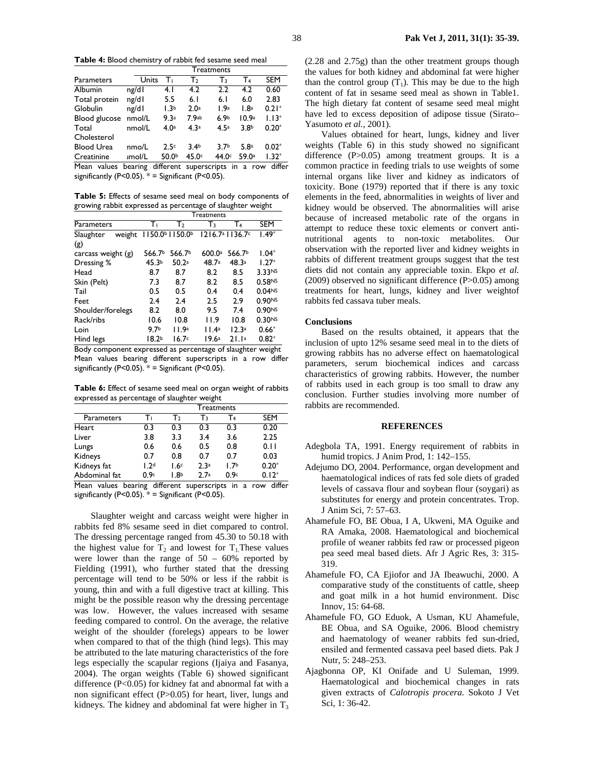**Table 4:** Blood chemistry of rabbit fed sesame seed meal

|                   | Treatments |                   |                  |                  |                   |            |
|-------------------|------------|-------------------|------------------|------------------|-------------------|------------|
| Parameters        | Units      | т.                | Тэ               | $\mathsf{T}_3$   | T4                | <b>SEM</b> |
| Albumin           | ng/dl      | 4. I              | 4.2              | 2.2              | 4.2               | 0.60       |
| Total protein     | ng/dl      | 5.5               | 6.1              | 6.1              | 6.0               | 2.83       |
| Globulin          | ng/dl      | 1.3 <sup>b</sup>  | 2.0 <sup>a</sup> | 1.9a             | 1.8 <sup>a</sup>  | $0.21*$    |
| Blood glucose     | nmol/L     | 9.3a              | 7.9ab            | 6.9 <sub>b</sub> | 10.9a             | $1.13*$    |
| Total             | nmol/L     | 4.0 <sup>a</sup>  | 4.3a             | 4.5a             | 3.8 <sub>b</sub>  | $0.20*$    |
| Cholesterol       |            |                   |                  |                  |                   |            |
| <b>Blood Urea</b> | nmo/L      | 2.5c              | 3.4 <sub>b</sub> | 3.7 <sub>b</sub> | 5.8a              | $0.02*$    |
| Creatinine        | ımol/L     | 50.0 <sup>b</sup> | 45.0c            | 44.0c            | 59.0 <sup>a</sup> | $1.32*$    |

Mean values bearing different superscripts in a row differ significantly (P<0.05).  $* =$  Significant (P<0.05).

**Table 5:** Effects of sesame seed meal on body components of growing rabbit expressed as percentage of slaughter weight

|                      |        | <b>Treatments</b> |                           |        |                                         |                    |
|----------------------|--------|-------------------|---------------------------|--------|-----------------------------------------|--------------------|
| Parameters           |        | Τт                | T <sub>2</sub>            | $T_3$  | T4                                      | SEM                |
| Slaughter            | weight |                   | 1150.0 $\frac{1150.0}{b}$ |        | 1216.7 <sup>a</sup> 1136.7 <sup>c</sup> | $1.49*$            |
| (g)                  |        |                   |                           |        |                                         |                    |
| carcass weight $(g)$ |        | 566.7b            | 566.7b                    | 600.0a | 566.7b                                  | $1.04*$            |
| Dressing %           |        | 45.3b             | 50.2a                     | 48.7a  | 48.3a                                   | $1.27*$            |
| Head                 |        | 8.7               | 8.7                       | 8.2    | 8.5                                     | 3.33NS             |
| Skin (Pelt)          |        | 7.3               | 8.7                       | 8.2    | 8.5                                     | 0.58 <sub>Ns</sub> |
| Tail                 |        | 0.5               | 0.5                       | 0.4    | 0.4                                     | 0.04N <sub>S</sub> |
| Feet                 |        | 2.4               | 2.4                       | 2.5    | 2.9                                     | 0.90NS             |
| Shoulder/forelegs    |        | 8.2               | 8.0                       | 9.5    | 7.4                                     | 0.90Ns             |
| Rack/ribs            |        | 10.6              | 10.8                      | 11.9   | 10.8                                    | 0.30 <sub>NS</sub> |
| Loin                 |        | 9.7 <sub>b</sub>  | 11.9a                     | 11.4a  | 12.3a                                   | $0.66*$            |
| Hind legs            |        | 18.2 <sub>b</sub> | 16.7c                     | 19.6ª  | 21.1a                                   | $0.82*$            |

Body component expressed as percentage of slaughter weight Mean values bearing different superscripts in a row differ significantly  $(P<0.05)$ . \* = Significant  $(P<0.05)$ .

**Table 6:** Effect of sesame seed meal on organ weight of rabbits expressed as percentage of slaughter weight

|               | Treatments       |                  |                  |                  |            |  |
|---------------|------------------|------------------|------------------|------------------|------------|--|
| Parameters    |                  | т›               | Т٦               | T4               | <b>SEM</b> |  |
| Heart         | 0.3              | 0.3              | 0.3              | 0.3              | 0.20       |  |
| Liver         | 3.8              | 3.3              | 3.4              | 3.6              | 2.25       |  |
| Lungs         | 0.6              | 0.6              | 0.5              | 0.8              | 0.11       |  |
| Kidneys       | 0.7              | 0.8              | 0.7              | 0.7              | 0.03       |  |
| Kidneys fat   | 1.2 <sup>d</sup> | 1.6c             | 2.3 <sup>a</sup> | 1.7 <sub>b</sub> | $0.20*$    |  |
| Abdominal fat | 0.9c             | 1.8 <sup>b</sup> | 2.7a             | 0.9c             | $0.12*$    |  |

Mean values bearing different superscripts in a row differ significantly (P<0.05).  $* =$  Significant (P<0.05).

Slaughter weight and carcass weight were higher in rabbits fed 8% sesame seed in diet compared to control. The dressing percentage ranged from 45.30 to 50.18 with the highest value for  $T_2$  and lowest for  $T_1$ . These values were lower than the range of  $50 - 60\%$  reported by Fielding (1991), who further stated that the dressing percentage will tend to be 50% or less if the rabbit is young, thin and with a full digestive tract at killing. This might be the possible reason why the dressing percentage was low. However, the values increased with sesame feeding compared to control. On the average, the relative weight of the shoulder (forelegs) appears to be lower when compared to that of the thigh (hind legs). This may be attributed to the late maturing characteristics of the fore legs especially the scapular regions (Ijaiya and Fasanya, 2004). The organ weights (Table 6) showed significant difference (P<0.05) for kidney fat and abnormal fat with a non significant effect (P>0.05) for heart, liver, lungs and kidneys. The kidney and abdominal fat were higher in  $T_3$  (2.28 and 2.75g) than the other treatment groups though the values for both kidney and abdominal fat were higher than the control group  $(T_1)$ . This may be due to the high content of fat in sesame seed meal as shown in Table1. The high dietary fat content of sesame seed meal might have led to excess deposition of adipose tissue (Sirato– Yasumoto *et al.,* 2001).

Values obtained for heart, lungs, kidney and liver weights (Table 6) in this study showed no significant difference (P>0.05) among treatment groups. It is a common practice in feeding trials to use weights of some internal organs like liver and kidney as indicators of toxicity. Bone (1979) reported that if there is any toxic elements in the feed, abnormalities in weights of liver and kidney would be observed. The abnormalities will arise because of increased metabolic rate of the organs in attempt to reduce these toxic elements or convert antinutritional agents to non-toxic metabolites. Our observation with the reported liver and kidney weights in rabbits of different treatment groups suggest that the test diets did not contain any appreciable toxin. Ekpo *et al.* (2009) observed no significant difference (P>0.05) among treatments for heart, lungs, kidney and liver weightof rabbits fed cassava tuber meals.

### **Conclusions**

Based on the results obtained, it appears that the inclusion of upto 12% sesame seed meal in to the diets of growing rabbits has no adverse effect on haematological parameters, serum biochemical indices and carcass characteristics of growing rabbits. However, the number of rabbits used in each group is too small to draw any conclusion. Further studies involving more number of rabbits are recommended.

### **REFERENCES**

- Adegbola TA, 1991. Energy requirement of rabbits in humid tropics. J Anim Prod, 1: 142–155.
- Adejumo DO, 2004. Performance, organ development and haematological indices of rats fed sole diets of graded levels of cassava flour and soybean flour (soygari) as substitutes for energy and protein concentrates. Trop. J Anim Sci, 7: 57–63.
- Ahamefule FO, BE Obua, I A, Ukweni, MA Oguike and RA Amaka, 2008. Haematological and biochemical profile of weaner rabbits fed raw or processed pigeon pea seed meal based diets. Afr J Agric Res, 3: 315- 319.
- Ahamefule FO, CA Ejiofor and JA Ibeawuchi, 2000. A comparative study of the constituents of cattle, sheep and goat milk in a hot humid environment. Disc Innov, 15: 64-68.
- Ahamefule FO, GO Eduok, A Usman, KU Ahamefule, BE Obua, and SA Oguike, 2006. Blood chemistry and haematology of weaner rabbits fed sun-dried, ensiled and fermented cassava peel based diets. Pak J Nutr, 5: 248–253.
- Ajagbonna OP, KI Onifade and U Suleman, 1999. Haematological and biochemical changes in rats given extracts of *Calotropis procera.* Sokoto J Vet Sci, 1: 36-42.